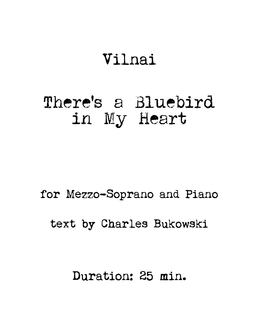# Vilnai

# There's a Bluebird in My Heart

### for Mezzo-Soprano and Piano

## text by Charles Bukowski

## Duration: 25 min.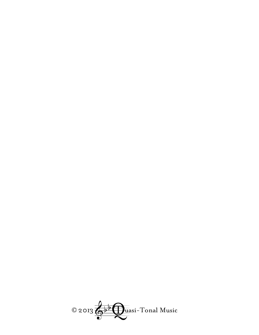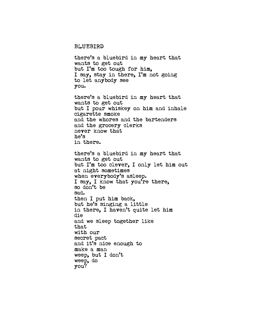#### BLUEBIRD

there's a bluebird in my heart that wants to get out but I'm too tough for him, I say, stay in there, I'm not going to let anybody see you.

there's a bluebird in my heart that wants to get out but I pour whiskey on him and inhale cigarette smoke and the whores and the bartenders and the grocery clerks never know that he's in there.

there's a bluebird in my heart that wants to get out but I'm too clever, I only let him out at night sometimes when everybody's asleep. I say, I know that you're there, so don't be sad. then I put him back, but he's singing a little in there, I haven't quite let him die and we sleep together like that with our secret pact and it's nice enough to make a man weep, but I don't weep, do you?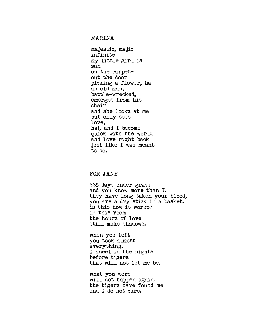#### MARINA

majestic, majic infinite my little girl is sun on the carpetout the door picking <sup>a</sup> flower, ha! an old man, battle-wrecked, emerges from his chair and she looks at me but only sees love, ha!, and <sup>I</sup> become quick with the world and love right back just like I was meant to do.

#### FOR JANE

225 days under grass and you know more than I. they have long taken your blood, you are a dry stick in a basket. is this how it works? in this room the hours of love still make shadows.

when you left you took almost everything. I kneel in the nights before tigers that will not let me be.

what you were<br>will not happen again. the tigers have found me and I do not care.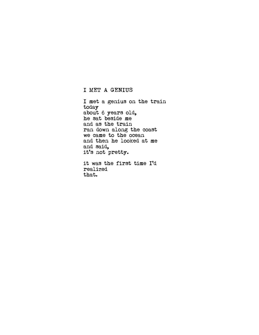#### I MET A GENIUS

I met a genius on the train today about 6 years old, he sat beside me and as the train ran down along the coast we came to the ocean and then he looked at me and said, it's not pretty.

it was the first time I'd realized that.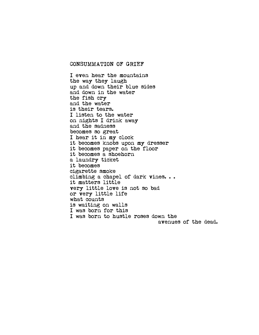#### CONSUMMATION OF GRIEF

I even hear the mountains the way they laugh up and down their blue sides and down in the water the fish cry and the water is their tears. I listen to the water on nights I drink away and the sadness becomes so great I hear it in my clock it becomes knobs upon my dresser it becomes paper on the floor it becomes a shoehorn a laundry ticket it becomes cigarette smoke climbing a chapel of dark vines. . . it matters little very little love is not so bad or very little life what counts is waiting on walls I was born for this I was born to hustle roses down the avenues of the dead.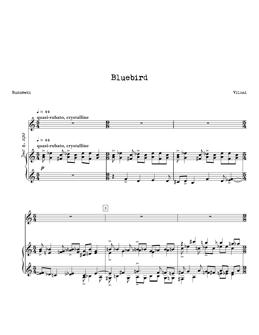### Bluebird

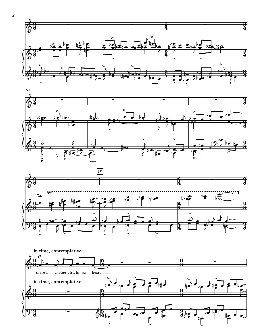







 $\overline{a}$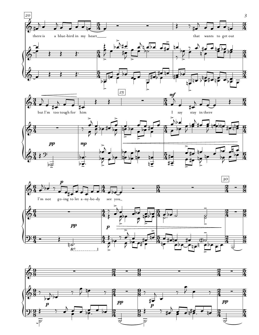



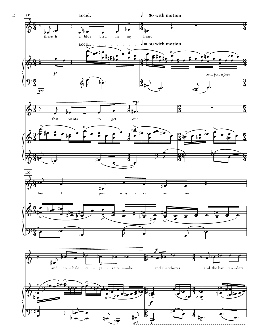







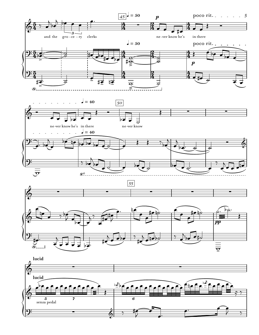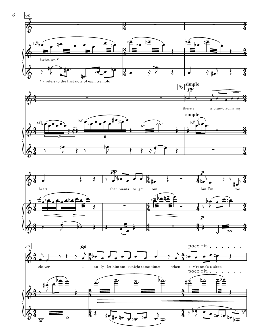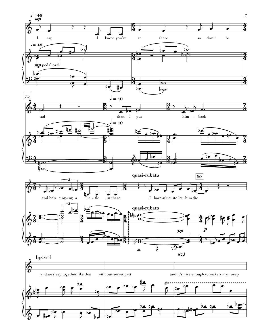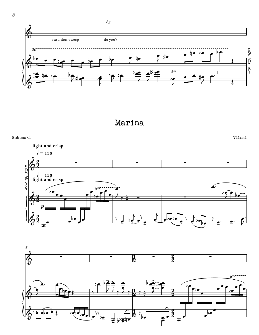

Marina



 $\delta$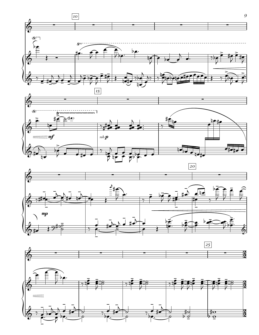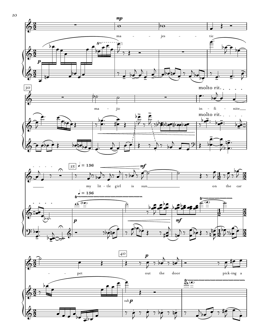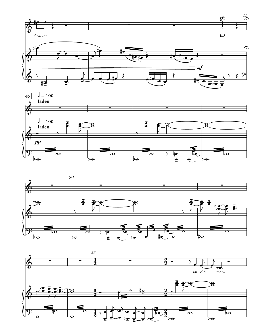





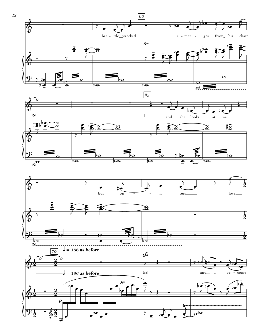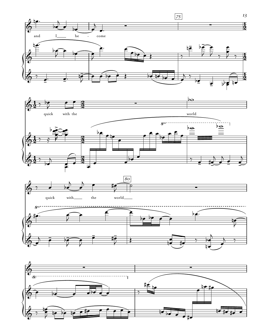





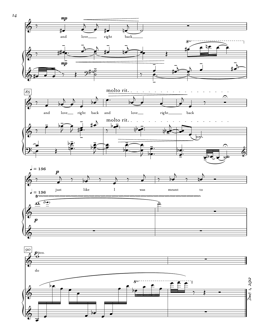

œ œ

 $\overrightarrow{e}$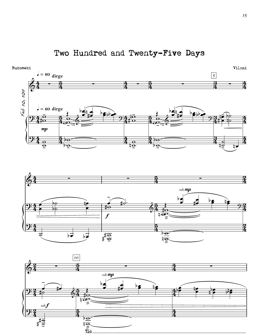Two Hundred and Twenty-Five Days



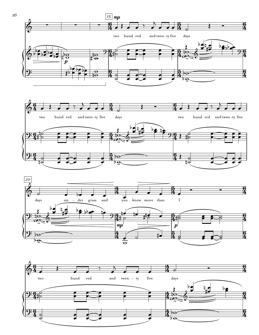





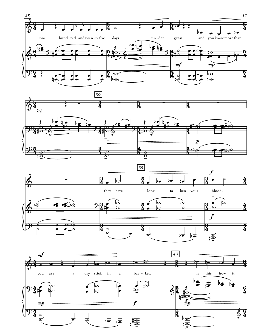





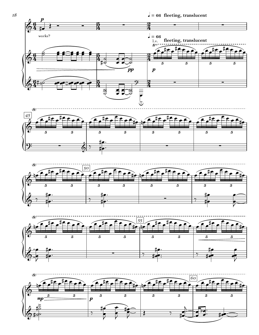







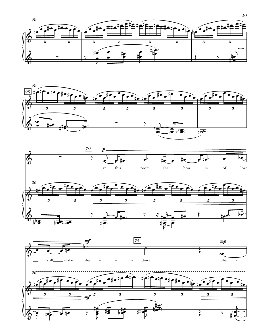







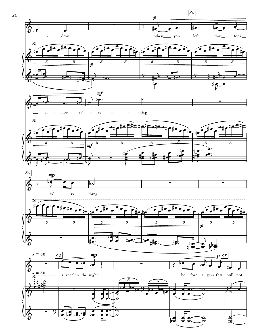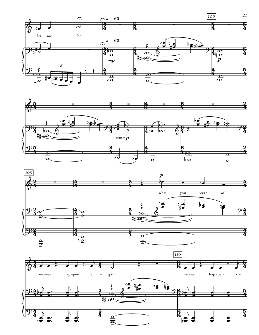







 $\overline{\mathbf{e}}$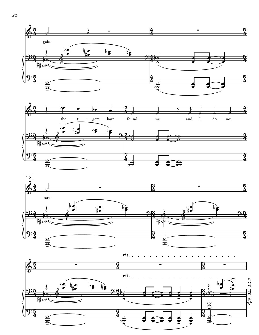





rit.

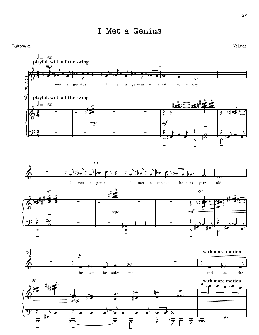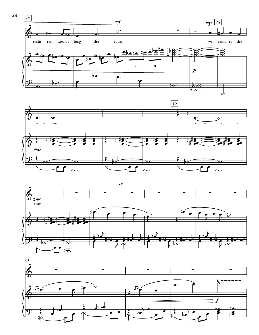





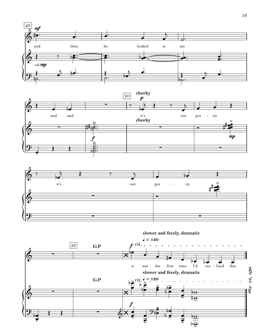





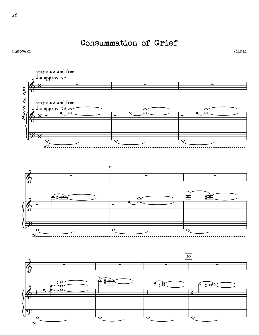### Consummation of Grief

Bukoswki



Vilnai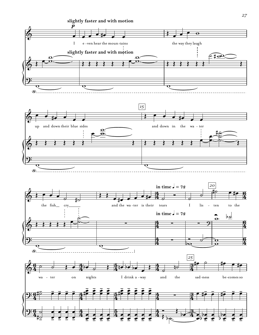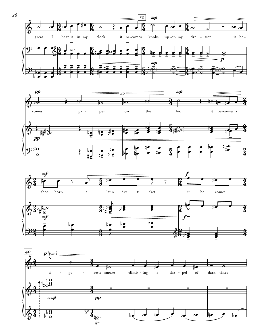